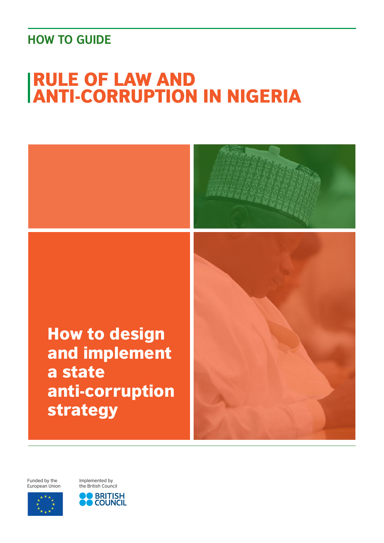### <span id="page-0-0"></span>**HOW TO GUIDE**

# **IRULE OF LAW AND<br>IANTI-CORRUPTION IN NIGERIA**



Funded by the European Union Implemented by the British Council



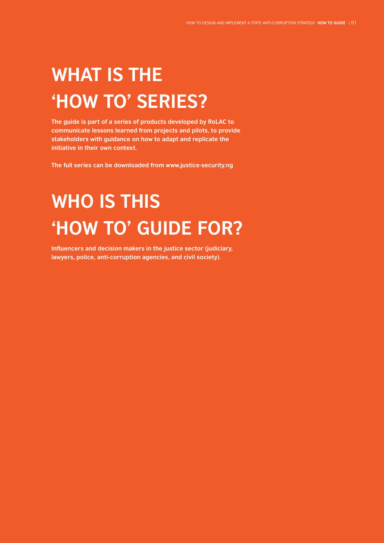## **WHAT IS THE 'HOW TO' SERIES?**

**The guide is part of a series of products developed by RoLAC to communicate lessons learned from projects and pilots, to provide stakeholders with guidance on how to adapt and replicate the initiative in their own context.** 

**The full series can be downloaded from www.justice-security.ng**

## **WHO IS THIS 'HOW TO' GUIDE FOR?**

**Influencers and decision makers in the justice sector (judiciary, lawyers, police, anti-corruption agencies, and civil society).**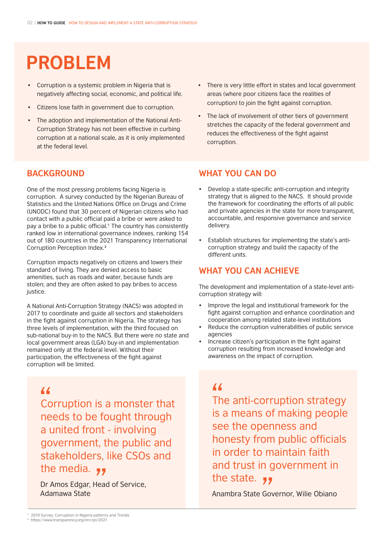### **PROBLEM**

- Corruption is a systemic problem in Nigeria that is negatively affecting social, economic, and political life.
- Citizens lose faith in government due to corruption.
- The adoption and implementation of the National Anti-Corruption Strategy has not been effective in curbing corruption at a national scale, as it is only implemented at the federal level.

### **BACKGROUND**

One of the most pressing problems facing Nigeria is corruption. A survey conducted by the Nigerian Bureau of Statistics and the United Nations Office on Drugs and Crime (UNODC) found that 30 percent of Nigerian citizens who had contact with a public official paid a bribe or were asked to pay a bribe to a public official.<sup>1</sup> The country has consistently ranked low in international governance indexes, ranking 154 out of 180 countries in the 2021 Transparency International Corruption Perception Index.²

Corruption impacts negatively on citizens and lowers their standard of living. They are denied access to basic amenities, such as roads and water, because funds are stolen; and they are often asked to pay bribes to access justice.

A National Anti-Corruption Strategy (NACS) was adopted in 2017 to coordinate and guide all sectors and stakeholders in the fight against corruption in Nigeria. The strategy has three levels of implementation, with the third focused on sub-national buy-in to the NACS. But there were no state and local government areas (LGA) buy-in and implementation remained only at the federal level. Without their participation, the effectiveness of the fight against corruption will be limited.

Corruption is a monster that needs to be fought through a united front - involving government, the public and stakeholders, like CSOs and 44<br>Cc<br>ne

**the media.**<br>Dr Amos Edgar, Head<br>Adamawa State Dr Amos Edgar, Head of Service, Adamawa State

- There is very little effort in states and local government areas (where poor citizens face the realities of corruption) to join the fight against corruption.
- The lack of involvement of other tiers of government stretches the capacity of the federal government and reduces the effectiveness of the fight against corruption.

#### **WHAT YOU CAN DO**

- Develop a state-specific anti-corruption and integrity strategy that is aligned to the NACS. It should provide the framework for coordinating the efforts of all public and private agencies in the state for more transparent, accountable, and responsive governance and service delivery.
- Establish structures for implementing the state's anticorruption strategy and build the capacity of the different units.

#### **WHAT YOU CAN ACHIEVE**

The development and implementation of a state-level anticorruption strategy will:

- Improve the legal and institutional framework for the fight against corruption and enhance coordination and cooperation among related state-level institutions
- Reduce the corruption vulnerabilities of public service agencies
- Increase citizen's participation in the fight against corruption resulting from increased knowledge and awareness on the impact of corruption.

The anti-corruption strategy is a means of making people see the openness and honesty from public officials in order to maintain faith and trust in government in the state.  $\overline{\bullet}$  $\frac{4}{\pi}$ <br>Th

Anambra State Governor, Wilie Obiano **77**<br>Gov

2019 Survey: Corruption in Nigeria patterns and Trends **1** https://www.transparency.org/en/cpi/2021 **2**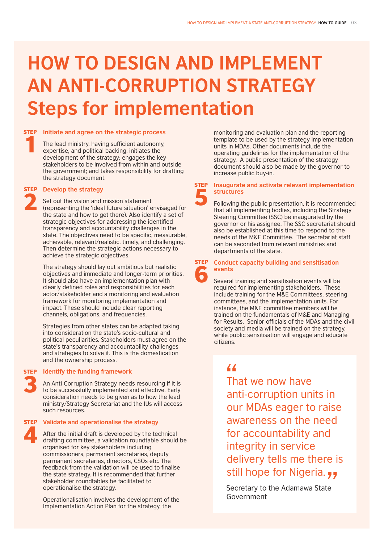## **HOW TO DESIGN AND IMPLEMENT AN ANTI-CORRUPTION STRATEGY Steps for implementation**

### **STEP** Initiate and agree on the strategic process 1

The lead ministry, having sufficient autonomy, expertise, and political backing, initiates the development of the strategy; engages the key stakeholders to be involved from within and outside the government; and takes responsibility for drafting the strategy document.

### **STEP** Develop the strategy 2

Set out the vision and mission statement (representing the 'ideal future situation' envisaged for the state and how to get there). Also identify a set of strategic objectives for addressing the identified transparency and accountability challenges in the state. The objectives need to be specific, measurable, achievable, relevant/realistic, timely, and challenging. Then determine the strategic actions necessary to achieve the strategic objectives.

The strategy should lay out ambitious but realistic objectives and immediate and longer-term priorities. It should also have an implementation plan with clearly defined roles and responsibilities for each actor/stakeholder and a monitoring and evaluation framework for monitoring implementation and impact. These should include clear reporting channels, obligations, and frequencies.

Strategies from other states can be adapted taking into consideration the state's socio-cultural and political peculiarities. Stakeholders must agree on the state's transparency and accountability challenges and strategies to solve it. This is the domestication and the ownership process.

#### **Identify the funding framework** 3 **STEP**

An Anti-Corruption Strategy needs resourcing if it is to be successfully implemented and effective. Early consideration needs to be given as to how the lead ministry/Strategy Secretariat and the IUs will access such resources.

## 4

#### **Validate and operationalise the strategy** STEP

After the initial draft is developed by the technical drafting committee, a validation roundtable should be organised for key stakeholders including commissioners, permanent secretaries, deputy permanent secretaries, directors, CSOs etc. The feedback from the validation will be used to finalise the state strategy. It is recommended that further stakeholder roundtables be facilitated to operationalise the strategy.

Operationalisation involves the development of the Implementation Action Plan for the strategy, the

monitoring and evaluation plan and the reporting template to be used by the strategy implementation units in MDAs. Other documents include the operating guidelines for the implementation of the strategy. A public presentation of the strategy document should also be made by the governor to increase public buy-in.

#### **Inaugurate and activate relevant implementation structures** 5 **STEP**

Following the public presentation, it is recommended that all implementing bodies, including the Strategy Steering Committee (SSC) be inaugurated by the governor or his assignee. The SSC secretariat should also be established at this time to respond to the needs of the M&E Committee. The secretariat staff can be seconded from relevant ministries and departments of the state.

**Conduct capacity building and sensitisation events** 6 **STEP** 

Several training and sensitisation events will be required for implementing stakeholders. These include training for the M&E Committees, steering committees, and the implementation units. For instance, the M&E committee members will be trained on the fundamentals of M&E and Managing for Results. Senior officials of the MDAs and the civil society and media will be trained on the strategy, while public sensitisation will engage and educate citizens.

That we now have anti-corruption units in our MDAs eager to raise awareness on the need for accountability and integrity in service delivery tells me there is  $\frac{4}{\pi}$ 

still hope for Nigeria.<br>Secretary to the Adamawa State<br>Government Secretary to the Adamawa State Government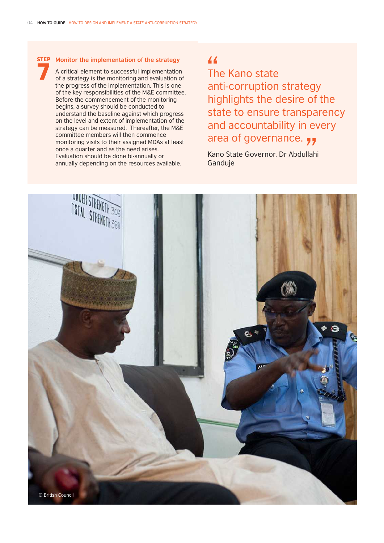#### **Monitor the implementation of the strategy** 7 **STEP**

A critical element to successful implementation of a strategy is the monitoring and evaluation of the progress of the implementation. This is one of the key responsibilities of the M&E committee. Before the commencement of the monitoring begins, a survey should be conducted to understand the baseline against which progress on the level and extent of implementation of the strategy can be measured. Thereafter, the M&E committee members will then commence monitoring visits to their assigned MDAs at least once a quarter and as the need arises. Evaluation should be done bi-annually or annually depending on the resources available.

The Kano state anti-corruption strategy highlights the desire of the state to ensure transparency and accountability in every area of governance.  $\overline{\phantom{a}}$  $\frac{4}{\pi}$ 

Kano State Governor, Dr Abdullahi Ganduje **77**<br>|llah

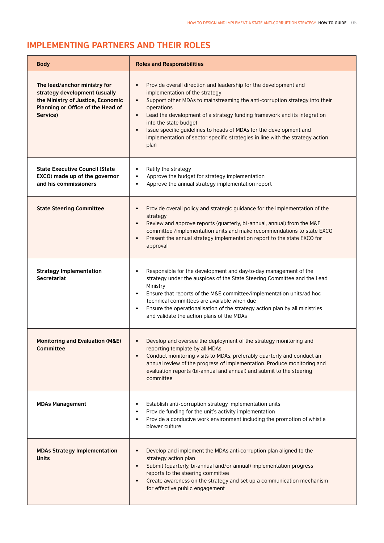### **IMPLEMENTING PARTNERS AND THEIR ROLES**

| <b>Body</b>                                                                                                                                         | <b>Roles and Responsibilities</b>                                                                                                                                                                                                                                                                                                                                                                                                                                                                                       |
|-----------------------------------------------------------------------------------------------------------------------------------------------------|-------------------------------------------------------------------------------------------------------------------------------------------------------------------------------------------------------------------------------------------------------------------------------------------------------------------------------------------------------------------------------------------------------------------------------------------------------------------------------------------------------------------------|
| The lead/anchor ministry for<br>strategy development (usually<br>the Ministry of Justice, Economic<br>Planning or Office of the Head of<br>Service) | Provide overall direction and leadership for the development and<br>$\bullet$<br>implementation of the strategy<br>Support other MDAs to mainstreaming the anti-corruption strategy into their<br>$\bullet$<br>operations<br>Lead the development of a strategy funding framework and its integration<br>$\bullet$<br>into the state budget<br>Issue specific guidelines to heads of MDAs for the development and<br>$\bullet$<br>implementation of sector specific strategies in line with the strategy action<br>plan |
| <b>State Executive Council (State</b><br>EXCO) made up of the governor<br>and his commissioners                                                     | Ratify the strategy<br>٠<br>Approve the budget for strategy implementation<br>$\bullet$<br>Approve the annual strategy implementation report<br>$\bullet$                                                                                                                                                                                                                                                                                                                                                               |
| <b>State Steering Committee</b>                                                                                                                     | Provide overall policy and strategic guidance for the implementation of the<br>$\bullet$<br>strategy<br>Review and approve reports (quarterly, bi-annual, annual) from the M&E<br>$\bullet$<br>committee /implementation units and make recommendations to state EXCO<br>Present the annual strategy implementation report to the state EXCO for<br>$\bullet$<br>approval                                                                                                                                               |
| <b>Strategy Implementation</b><br><b>Secretariat</b>                                                                                                | Responsible for the development and day-to-day management of the<br>strategy under the auspices of the State Steering Committee and the Lead<br>Ministry<br>Ensure that reports of the M&E committee/implementation units/ad hoc<br>$\bullet$<br>technical committees are available when due<br>Ensure the operationalisation of the strategy action plan by all ministries<br>$\bullet$<br>and validate the action plans of the MDAs                                                                                   |
| <b>Monitoring and Evaluation (M&amp;E)</b><br><b>Committee</b>                                                                                      | Develop and oversee the deployment of the strategy monitoring and<br>٠<br>reporting template by all MDAs<br>Conduct monitoring visits to MDAs, preferably quarterly and conduct an<br>annual review of the progress of implementation. Produce monitoring and<br>evaluation reports (bi-annual and annual) and submit to the steering<br>committee                                                                                                                                                                      |
| <b>MDAs Management</b>                                                                                                                              | Establish anti-corruption strategy implementation units<br>Provide funding for the unit's activity implementation<br>Provide a conducive work environment including the promotion of whistle<br>$\bullet$<br>blower culture                                                                                                                                                                                                                                                                                             |
| <b>MDAs Strategy Implementation</b><br><b>Units</b>                                                                                                 | Develop and implement the MDAs anti-corruption plan aligned to the<br>strategy action plan<br>Submit (quarterly, bi-annual and/or annual) implementation progress<br>$\bullet$<br>reports to the steering committee<br>Create awareness on the strategy and set up a communication mechanism<br>for effective public engagement                                                                                                                                                                                         |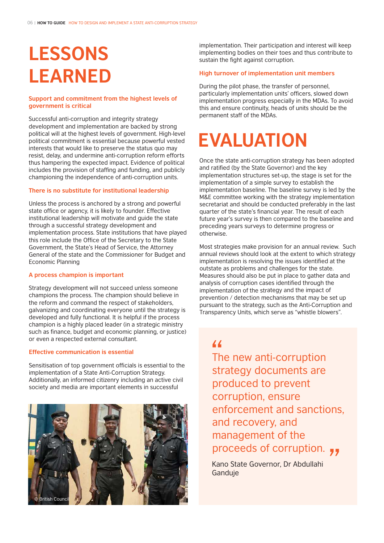## **LESSONS LEARNED**

#### **Support and commitment from the highest levels of government is critical**

Successful anti-corruption and integrity strategy development and implementation are backed by strong political will at the highest levels of government. High-level political commitment is essential because powerful vested interests that would like to preserve the status quo may resist, delay, and undermine anti-corruption reform efforts thus hampering the expected impact. Evidence of political includes the provision of staffing and funding, and publicly championing the independence of anti-corruption units.

#### **There is no substitute for institutional leadership**

Unless the process is anchored by a strong and powerful state office or agency, it is likely to founder. Effective institutional leadership will motivate and guide the state through a successful strategy development and implementation process. State institutions that have played this role include the Office of the Secretary to the State Government, the State's Head of Service, the Attorney General of the state and the Commissioner for Budget and Economic Planning

#### **A process champion is important**

Strategy development will not succeed unless someone champions the process. The champion should believe in the reform and command the respect of stakeholders, galvanizing and coordinating everyone until the strategy is developed and fully functional. It is helpful if the process champion is a highly placed leader (in a strategic ministry such as finance, budget and economic planning, or justice) or even a respected external consultant.

#### **Effective communication is essential**

Sensitisation of top government officials is essential to the implementation of a State Anti-Corruption Strategy. Additionally, an informed citizenry including an active civil society and media are important elements in successful



implementation. Their participation and interest will keep implementing bodies on their toes and thus contribute to sustain the fight against corruption.

#### **High turnover of implementation unit members**

During the pilot phase, the transfer of personnel, particularly implementation units' officers, slowed down implementation progress especially in the MDAs. To avoid this and ensure continuity, heads of units should be the permanent staff of the MDAs.

### **EVALUATION**

Once the state anti-corruption strategy has been adopted and ratified (by the State Governor) and the key implementation structures set-up, the stage is set for the implementation of a simple survey to establish the implementation baseline. The baseline survey is led by the M&E committee working with the strategy implementation secretariat and should be conducted preferably in the last quarter of the state's financial year. The result of each future year's survey is then compared to the baseline and preceding years surveys to determine progress or otherwise.

Most strategies make provision for an annual review. Such annual reviews should look at the extent to which strategy implementation is resolving the issues identified at the outstate as problems and challenges for the state. Measures should also be put in place to gather data and analysis of corruption cases identified through the implementation of the strategy and the impact of prevention / detection mechanisms that may be set up pursuant to the strategy, such as the Anti-Corruption and Transparency Units, which serve as "whistle blowers".

The new anti-corruption strategy documents are produced to prevent corruption, ensure enforcement and sanctions, and recovery, and management of the  $\frac{4}{\pi}$ <br>Thetr

proceeds of corruption.<br>
Kano State Governor, Dr Abdullahi<br>Ganduje Kano State Governor, Dr Abdullahi Ganduje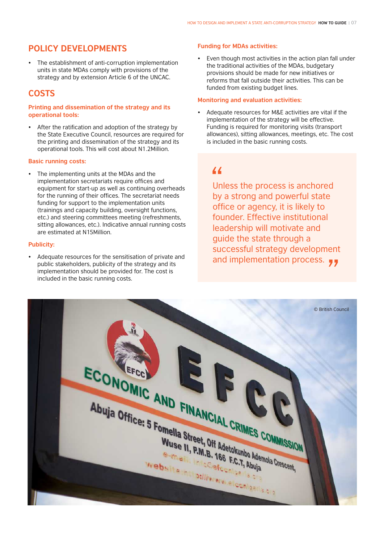#### **POLICY DEVELOPMENTS**

• The establishment of anti-corruption implementation units in state MDAs comply with provisions of the strategy and by extension Article 6 of the UNCAC.

#### **COSTS**

#### **Printing and dissemination of the strategy and its operational tools:**

• After the ratification and adoption of the strategy by the State Executive Council, resources are required for the printing and dissemination of the strategy and its operational tools. This will cost about N1.2Million.

#### **Basic running costs:**

The implementing units at the MDAs and the implementation secretariats require offices and equipment for start-up as well as continuing overheads for the running of their offices. The secretariat needs funding for support to the implementation units (trainings and capacity building, oversight functions, etc.) and steering committees meeting (refreshments, sitting allowances, etc.). Indicative annual running costs are estimated at N15Million.

#### **Publicity:**

• Adequate resources for the sensitisation of private and public stakeholders, publicity of the strategy and its implementation should be provided for. The cost is included in the basic running costs.

#### **Funding for MDAs activities:**

Even though most activities in the action plan fall under the traditional activities of the MDAs, budgetary provisions should be made for new initiatives or reforms that fall outside their activities. This can be funded from existing budget lines.

#### **Monitoring and evaluation activities:**

Adequate resources for M&E activities are vital if the implementation of the strategy will be effective. Funding is required for monitoring visits (transport allowances), sitting allowances, meetings, etc. The cost is included in the basic running costs.

 $^{\prime\prime}$ <br> $^{\prime\prime}$   $^{\prime\prime}$   $^{\prime\prime}$ and implementation process.  $\overline{\phantom{a}}$ Unless the process is anchored by a strong and powerful state office or agency, it is likely to founder. Effective institutional leadership will motivate and guide the state through a successful strategy development